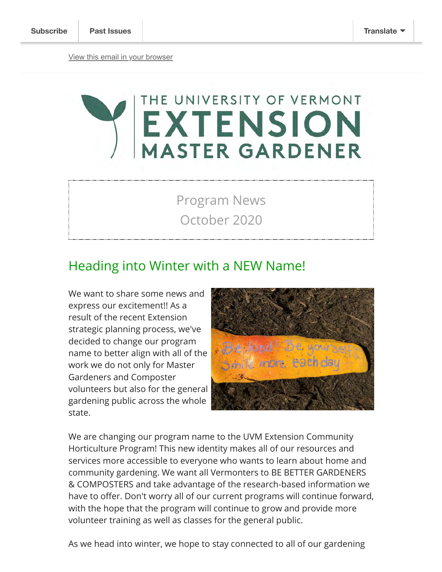# THE UNIVERSITY OF VERMONT EXTENSION<br>MASTER GARDENER

Program News October 2020

#### Heading into Winter with a NEW Name!

We want to share some news and express our excitement!! As a result of the recent Extension strategic planning process, we've decided to change our program name to better align with all of the work we do not only for Master Gardeners and Composter volunteers but also for the general gardening public across the whole state.



We are changing our program name to the UVM Extension Community Horticulture Program! This new identity makes all of our resources and services more accessible to everyone who wants to learn about home and community gardening. We want all Vermonters to BE BETTER GARDENERS & COMPOSTERS and take advantage of the research-based information we have to offer. Don't worry all of our current programs will continue forward, with the hope that the program will continue to grow and provide more volunteer training as well as classes for the general public.

As we head into winter, we hope to stay connected to all of our gardening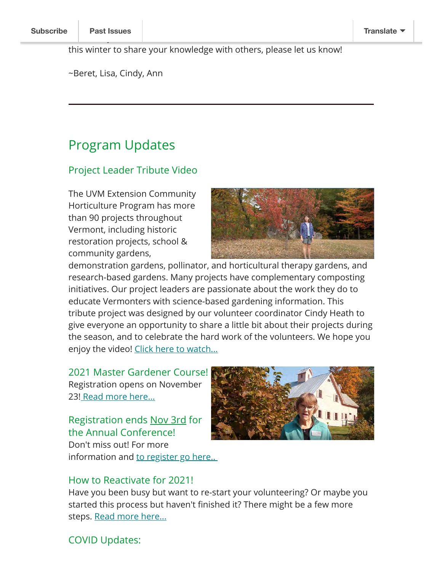this winter to share your knowledge with others, please let us know!

events. If you are a current volunteer who wants to teach a virtual events to teach a virtual events to teach

~Beret, Lisa, Cindy, Ann

### Program Updates

#### Project Leader Tribute Video

The UVM Extension Community Horticulture Program has more than 90 projects throughout Vermont, including historic restoration projects, school & community gardens,



demonstration gardens, pollinator, and horticultural therapy gardens, and research-based gardens. Many projects have complementary composting initiatives. Our project leaders are passionate about the work they do to educate Vermonters with science-based gardening information. This tribute project was designed by our volunteer coordinator Cindy Heath to give everyone an opportunity to share a little bit about their projects during the season, and to celebrate the hard work of the volunteers. We hope you enjoy the video! [Click here to watch...](https://youtu.be/14tQHl7CxIs)

2021 Master Gardener Course! Registration opens on November 23! [Rea](https://www.uvm.edu/extension/mastergardener/extension-master-gardener-course)[d more here...](https://www.uvm.edu/extension/mastergardener/state-conference)

Registration ends Nov 3rd for the Annual Conference! Don't miss out! For more

information and to register go here...



#### How to Reactivate for 2021!

Have you been busy but want to re-start your volunteering? Or maybe you started this process but haven't finished it? There might be a few more steps. [Read more here...](https://www.uvm.edu/extension/mastergardener/transfer-or-reactivation-instructions)

#### COVID Updates: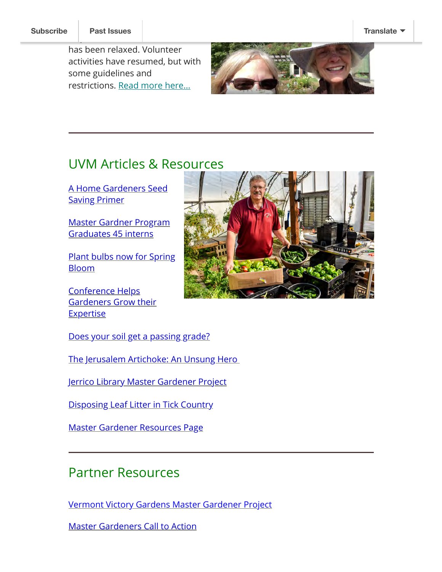requirement

has been relaxed. Volunteer activities have resumed, but with some guidelines and restrictions. [Read more here...](https://www.uvm.edu/extension/mastergardener/gardening-during-covid-19)



### UVM Articles & Resources

[A Home Gardeners Seed](https://www.uvm.edu/newsstories/news/home-gardeners-seed-saving-primer) Saving Primer

[Master Gardner Program](https://www.uvm.edu/newsstories/news/master-gardener-program-graduates-45-interns) Graduates 45 interns

**[Plant bulbs now for Spring](https://www.uvm.edu/newsstories/news/plant-bulbs-now-spring-bloom)** Bloom

Conference Helps [Gardeners Grow their](https://www.uvm.edu/newsstories/news/conference-helps-gardeners-grow-their-expertise) **Expertise** 

[Does your soil get a passing grade?](https://www.uvm.edu/newsstories/news/does-your-soil-get-passing-grade)

[The Jerusalem Artichoke: An Unsung Hero](https://www.uvm.edu/newsstories/news/jerusalem-artichoke-unsung-hero-0) 

[Jerrico Library Master Gardener Project](https://vtdigger.org/2020/09/27/the-bright-side-gardeners-raise-vegetables-at-jericho-library-for-local-food-shelf/)

[Disposing Leaf Litter in Tick Country](https://www.uvm.edu/newsstories/news/disposing-leaf-litter-tick-country)

[Master Gardener Resources Page](https://www.uvm.edu/extension/mastergardener/gardening-resources)

## Partner Resources

[Vermont Victory Gardens Master Gardener Project](https://vcgn.org/planting-hope-vermont-victory-gardens/)

[Master Gardeners Call to Action](https://vcgn.org/master-gardeners-a-call-to-action/)

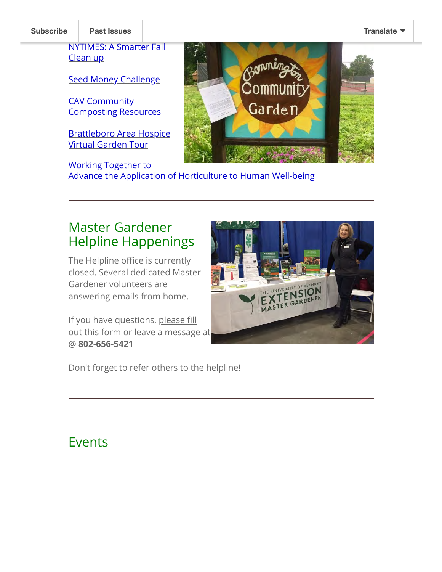[NYTIMES: A Smarter Fall](https://seedmoney.org/apply/) Clean up

Seed Money Challenge

CAV Community [Composting Resources](https://www.compostingvermont.org/community-composting) 

[Brattleboro Area Hospice](https://www.eventbrite.com/e/118169384811%E2%80%A8) Virtual Garden Tour

Working Together to [Advance the Application of Horticulture to Human Well-being](https://ksu.zoom.us/rec/share/8FThIcX9JcVNv01pGd1jryHrsITovt_JXTve8NJ8d5N-wt1KT-6Ab6kl03ZxpcIB.oPkoqHPnzct7dHhS)



Master Gardener Helpline Happenings

The Helpline office is currently closed. Several dedicated Master Gardener volunteers are answering emails from home.

If you have questions, please fill [out this form or leave a message](https://uvmmastergardener.wufoo.com/forms/home-garden-questions-ask-a-master-gardener/) at @ **802-656-5421**



Don't forget to refer others to the helpline!

# Events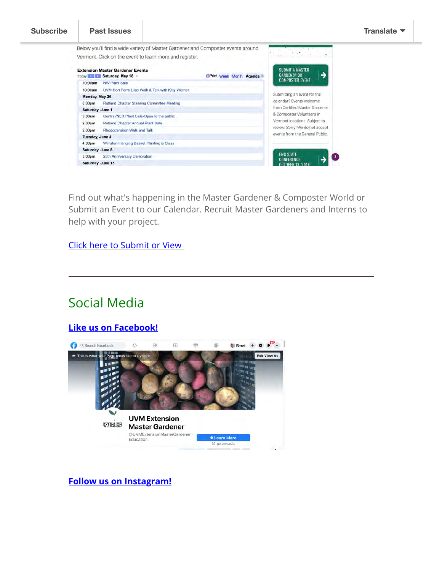

Find out what's happening in the Master Gardener & Composter World or Submit an Event to our Calendar. Recruit Master Gardeners and Interns to help with your project.

[Click here to Submit or View](https://www.uvm.edu/extension/mastergardener/events) 

# Social Media

#### **[Like us on Facebook!](https://www.facebook.com/UVMExtensionMasterGardener)**



**[Follow us on Instagram!](https://www.instagram.com/uvm_ext_master_gardener/)**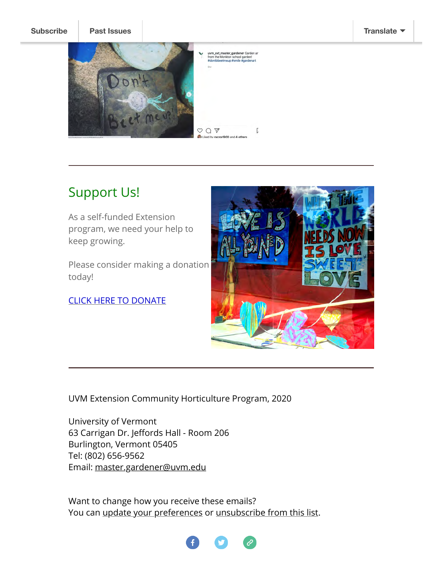

# Support Us!

As a self-funded Extension program, we need your help to keep growing.

Please consider making a donation today!

[CLICK HERE TO DONATE](https://securelb.imodules.com/s/1690/19/interior.aspx?sid=1690&gid=2&pgid=1207&cid=2495)



UVM Extension Community Horticulture Program, 2020

University of Vermont 63 Carrigan Dr. Jeffords Hall - Room 206 Burlington, Vermont 05405 Tel: (802) 656-9562 Email: [master.gardener@uvm.edu](mailto:master.gardener@uvm.edu)

Want to change how you receive these emails? You can [update your preferences](https://uvm.us17.list-manage.com/profile?u=c77421e1971a8053a45207b37&id=b98ce55c92&e=[UNIQID]&c=4092ba2d2a) or [unsubscribe from this list](https://uvm.us17.list-manage.com/unsubscribe?u=c77421e1971a8053a45207b37&id=b98ce55c92&e=[UNIQID]&c=4092ba2d2a).